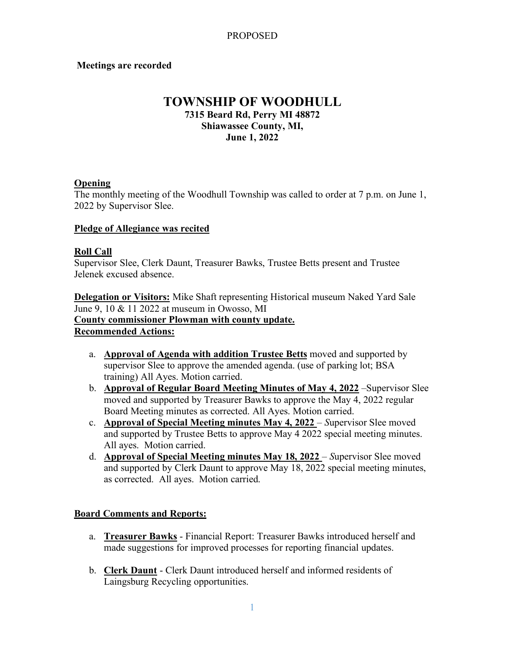## **Meetings are recorded**

## **TOWNSHIP OF WOODHULL 7315 Beard Rd, Perry MI 48872 Shiawassee County, MI, June 1, 2022**

## **Opening**

The monthly meeting of the Woodhull Township was called to order at 7 p.m. on June 1, 2022 by Supervisor Slee.

#### **Pledge of Allegiance was recited**

#### **Roll Call**

Supervisor Slee, Clerk Daunt, Treasurer Bawks, Trustee Betts present and Trustee Jelenek excused absence.

**Delegation or Visitors:** Mike Shaft representing Historical museum Naked Yard Sale June 9, 10 & 11 2022 at museum in Owosso, MI **County commissioner Plowman with county update. Recommended Actions:**

- a. **Approval of Agenda with addition Trustee Betts** moved and supported by supervisor Slee to approve the amended agenda. (use of parking lot; BSA training) All Ayes. Motion carried.
- b. **Approval of Regular Board Meeting Minutes of May 4, 2022** –Supervisor Slee moved and supported by Treasurer Bawks to approve the May 4, 2022 regular Board Meeting minutes as corrected. All Ayes. Motion carried.
- c. **Approval of Special Meeting minutes May 4, 2022**  *S*upervisor Slee moved and supported by Trustee Betts to approve May 4 2022 special meeting minutes. All ayes. Motion carried.
- d. **Approval of Special Meeting minutes May 18, 2022**  *S*upervisor Slee moved and supported by Clerk Daunt to approve May 18, 2022 special meeting minutes, as corrected. All ayes. Motion carried.

### **Board Comments and Reports:**

- a. **Treasurer Bawks** Financial Report: Treasurer Bawks introduced herself and made suggestions for improved processes for reporting financial updates.
- b. **Clerk Daunt** Clerk Daunt introduced herself and informed residents of Laingsburg Recycling opportunities.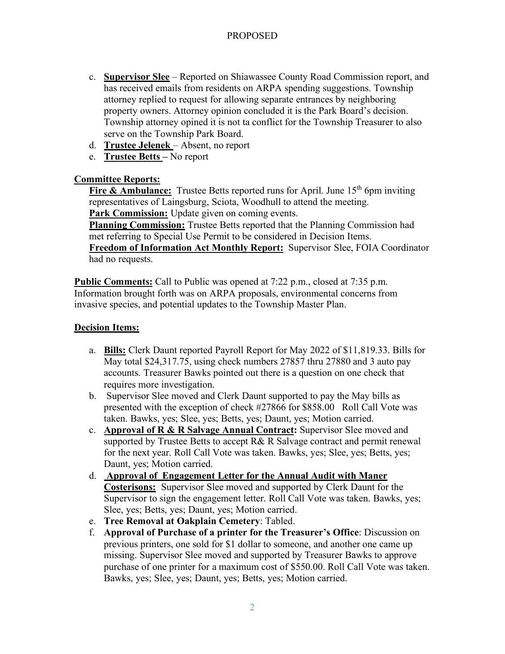# PROPOSED

- c. **Supervisor Slee** Reported on Shiawassee County Road Commission report, and has received emails from residents on ARPA spending suggestions. Township attorney replied to request for allowing separate entrances by neighboring property owners. Attorney opinion concluded it is the Park Board's decision. Township attorney opined it is not ta conflict for the Township Treasurer to also serve on the Township Park Board.
- d. **Trustee Jelenek**  Absent, no report
- e. **Trustee Betts** No report

## **Committee Reports:**

**Fire & Ambulance:** Trustee Betts reported runs for April. June 15<sup>th</sup> 6pm inviting representatives of Laingsburg, Sciota, Woodhull to attend the meeting. **Park Commission:** Update given on coming events.

**Planning Commission:** Trustee Betts reported that the Planning Commission had met referring to Special Use Permit to be considered in Decision Items. **Freedom of Information Act Monthly Report:** Supervisor Slee, FOIA Coordinator had no requests.

**Public Comments:** Call to Public was opened at 7:22 p.m., closed at 7:35 p.m. Information brought forth was on ARPA proposals, environmental concerns from invasive species, and potential updates to the Township Master Plan.

## **Decision Items:**

- a. **Bills:** Clerk Daunt reported Payroll Report for May 2022 of \$11,819.33. Bills for May total \$24,317.75, using check numbers 27857 thru 27880 and 3 auto pay accounts. Treasurer Bawks pointed out there is a question on one check that requires more investigation.
- b. Supervisor Slee moved and Clerk Daunt supported to pay the May bills as presented with the exception of check #27866 for \$858.00 Roll Call Vote was taken. Bawks, yes; Slee, yes; Betts, yes; Daunt, yes; Motion carried.
- c. **Approval of R & R Salvage Annual Contract:** Supervisor Slee moved and supported by Trustee Betts to accept R& R Salvage contract and permit renewal for the next year. Roll Call Vote was taken. Bawks, yes; Slee, yes; Betts, yes; Daunt, yes; Motion carried.
- d. **Approval of Engagement Letter for the Annual Audit with Maner Costerisons:** Supervisor Slee moved and supported by Clerk Daunt for the Supervisor to sign the engagement letter. Roll Call Vote was taken. Bawks, yes; Slee, yes; Betts, yes; Daunt, yes; Motion carried.
- e. **Tree Removal at Oakplain Cemetery**: Tabled.
- f. **Approval of Purchase of a printer for the Treasurer's Office**: Discussion on previous printers, one sold for \$1 dollar to someone, and another one came up missing. Supervisor Slee moved and supported by Treasurer Bawks to approve purchase of one printer for a maximum cost of \$550.00. Roll Call Vote was taken. Bawks, yes; Slee, yes; Daunt, yes; Betts, yes; Motion carried.